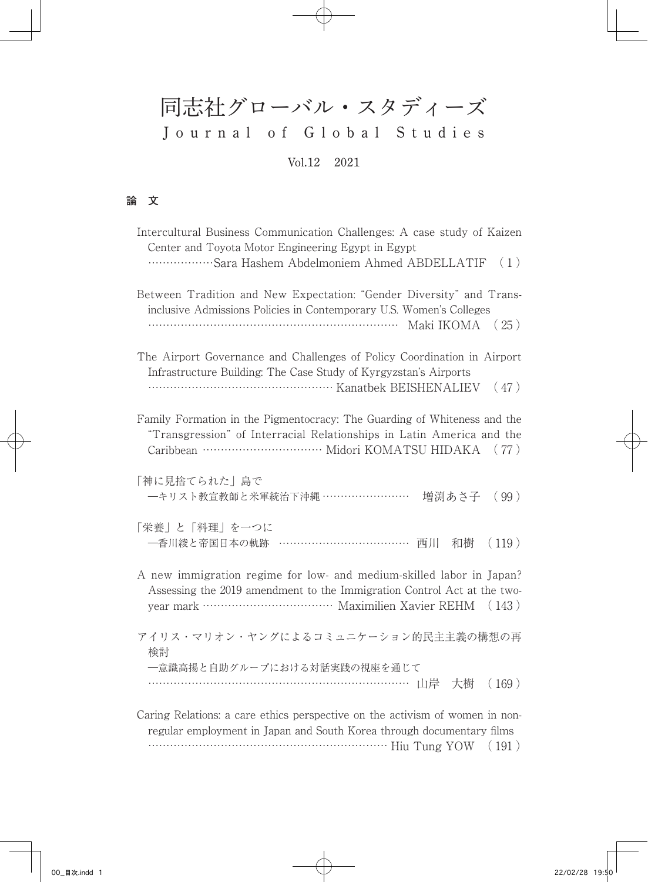## 同志社グローバル・スタディーズ Journal of Global Studies Vol.12 2021

## **論 文**

| Intercultural Business Communication Challenges: A case study of Kaizen<br>Center and Toyota Motor Engineering Egypt in Egypt<br>Sara Hashem Abdelmoniem Ahmed ABDELLATIF<br>(1)                       |  |  |  |
|--------------------------------------------------------------------------------------------------------------------------------------------------------------------------------------------------------|--|--|--|
| Between Tradition and New Expectation: "Gender Diversity" and Trans-<br>inclusive Admissions Policies in Contemporary U.S. Women's Colleges                                                            |  |  |  |
| The Airport Governance and Challenges of Policy Coordination in Airport<br>Infrastructure Building: The Case Study of Kyrgyzstan's Airports<br>Kanatbek BEISHENALIEV<br>(47)                           |  |  |  |
| Family Formation in the Pigmentocracy: The Guarding of Whiteness and the<br>"Transgression" of Interracial Relationships in Latin America and the                                                      |  |  |  |
| 「神に見捨てられた」島で<br>一キリスト教宣教師と米軍統治下沖縄 ……………………<br>増渕あさ子<br>(99)                                                                                                                                            |  |  |  |
| 「栄養」と「料理」を一つに<br>- 香川綾と帝国日本の軌跡 ………………………………<br>西川<br>(119)<br>和樹                                                                                                                                       |  |  |  |
| A new immigration regime for low- and medium-skilled labor in Japan?<br>Assessing the 2019 amendment to the Immigration Control Act at the two-<br>year mark ……………………………… Maximilien Xavier REHM (143) |  |  |  |
| アイリス・マリオン・ヤングによるコミュニケーション的民主主義の構想の再<br>検討                                                                                                                                                              |  |  |  |
| 一意識高揚と自助グループにおける対話実践の視座を通じて<br>………………………………………………………… 山岸<br>大樹<br>(169)                                                                                                                                |  |  |  |
| Caring Relations: a care ethics perspective on the activism of women in non-<br>regular employment in Japan and South Korea through documentary films                                                  |  |  |  |

………………………………………………………… Hiu Tung YOW ( 191 )